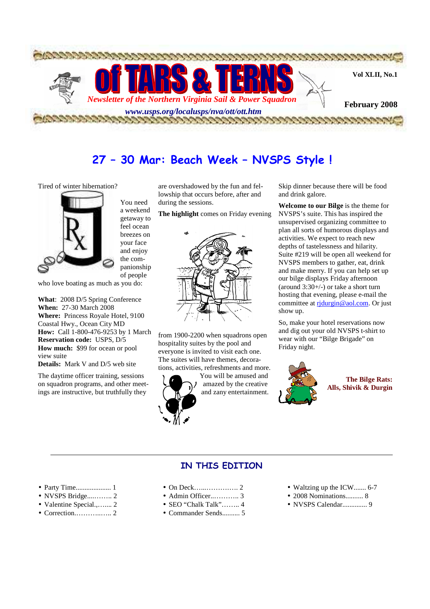

## **27 – 30 Mar: Beach Week – NVSPS Style !**

Tired of winter hibernation?



You need a weekend getaway to feel ocean breezes on your face and enjoy the companionship of people

who love boating as much as you do:

**What**: 2008 D/5 Spring Conference **When:** 27-30 March 2008 **Where:** Princess Royale Hotel, 9100 Coastal Hwy., Ocean City MD **How:** Call 1-800-476-9253 by 1 March **Reservation code:** USPS, D/5 **How much:** \$99 for ocean or pool view suite

**Details:** Mark V and D/5 web site

The daytime officer training, sessions on squadron programs, and other meetings are instructive, but truthfully they

are overshadowed by the fun and fellowship that occurs before, after and during the sessions.

**The highlight** comes on Friday evening



from 1900-2200 when squadrons open hospitality suites by the pool and everyone is invited to visit each one. The suites will have themes, decorations, activities, refreshments and more.



You will be amused and amazed by the creative and zany entertainment.

Skip dinner because there will be food and drink galore.

**Welcome to our Bilge** is the theme for NVSPS's suite. This has inspired the unsupervised organizing committee to plan all sorts of humorous displays and activities. We expect to reach new depths of tastelessness and hilarity. Suite #219 will be open all weekend for NVSPS members to gather, eat, drink and make merry. If you can help set up our bilge displays Friday afternoon (around 3:30+/-) or take a short turn hosting that evening, please e-mail the committee at rjdurgin@aol.com. Or just show up.

So, make your hotel reservations now and dig out your old NVSPS t-shirt to wear with our "Bilge Brigade" on Friday night.



**The Bilge Rats: Alls, Shivik & Durgin**

### **IN THIS EDITION**

- Party Time.................... 1
- NVSPS Bridge....…….. 2
- Valentine Special.,….... 2
- Correction.………..….. 2
- On Deck…...……….…. 2
- Admin Officer..……….. 3
- SEO "Chalk Talk"…….. 4
- Commander Sends.......... 5
- Waltzing up the ICW........ 6-7
- 2008 Nominations........... 8
- NVSPS Calendar.............. 9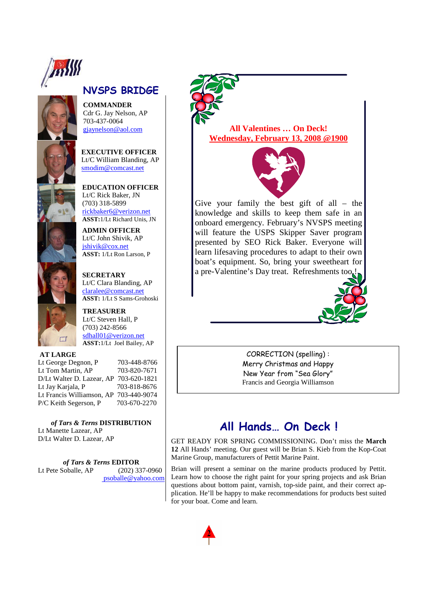

## **NVSPS BRIDGE**

**COMMANDER**  Cdr G. Jay Nelson, AP 703-437-0064 gjaynelson@aol.com

**EXECUTIVE OFFICER**  Lt/C William Blanding, AP smodim@comcast.net

**EDUCATION OFFICER**  Lt/C Rick Baker, JN (703) 318-5899 rickbaker6@verizon.net **ASST:**1/Lt Richard Unis, JN

**ADMIN OFFICER**  Lt/C John Shivik, AP jshivik@cox.net **ASST:** 1/Lt Ron Larson, P



**SECRETARY**  Lt/C Clara Blanding, AP claralee@comcast.net **ASST:** 1/Lt S Sams-Grohoski

**TREASURER** Lt/C Steven Hall, P (703) 242-8566 sdhall01@verizon.net **ASST:**1/Lt Joel Bailey, AP

### **AT LARGE**

Lt George Degnon, P 703-448-8766 Lt Tom Martin, AP 703-820-7671 D/Lt Walter D. Lazear, AP 703-620-1821 Lt Jay Karjala, P 703-818-8676 Lt Francis Williamson, AP 703-440-9074<br>P/C Keith Segerson, P 703-670-2270 P/C Keith Segerson, P

*of Tars & Terns* **DISTRIBUTION**  Lt Manette Lazear, AP D/Lt Walter D. Lazear, AP

*of Tars & Terns* **EDITOR**<br> **Soballe, AP** (202) 337-0960 Lt Pete Soballe, AP psoballe@yahoo.com

**All Valentines … On Deck! Wednesday, February 13, 2008 @1900**



Give your family the best gift of all – the knowledge and skills to keep them safe in an onboard emergency. February's NVSPS meeting will feature the USPS Skipper Saver program presented by SEO Rick Baker. Everyone will learn lifesaving procedures to adapt to their own boat's equipment. So, bring your sweetheart for a pre-Valentine's Day treat. Refreshments too.



CORRECTION (spelling) : Merry Christmas and Happy New Year from "Sea Glory" Francis and Georgia Williamson

# **All Hands… On Deck !**

GET READY FOR SPRING COMMISSIONING. Don't miss the **March 12** All Hands' meeting. Our guest will be Brian S. Kieb from the Kop-Coat Marine Group, manufacturers of Pettit Marine Paint.

Brian will present a seminar on the marine products produced by Pettit. Learn how to choose the right paint for your spring projects and ask Brian questions about bottom paint, varnish, top-side paint, and their correct application. He'll be happy to make recommendations for products best suited for your boat. Come and learn.

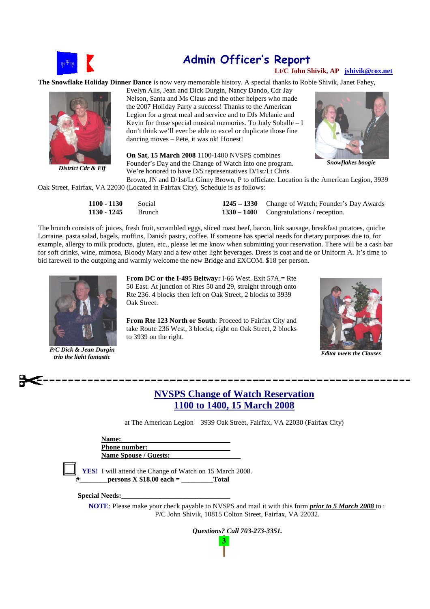

# **Admin Officer's Report**

#### **Lt/C John Shivik, AP jshivik@cox.net**

**The Snowflake Holiday Dinner Dance** is now very memorable history. A special thanks to Robie Shivik, Janet Fahey,



*District Cdr & Elf* 

Evelyn Alls, Jean and Dick Durgin, Nancy Dando, Cdr Jay Nelson, Santa and Ms Claus and the other helpers who made the 2007 Holiday Party a success! Thanks to the American Legion for a great meal and service and to DJs Melanie and Kevin for those special musical memories. To Judy Soballe – I don't think we'll ever be able to excel or duplicate those fine dancing moves – Pete, it was ok! Honest!

**On Sat, 15 March 2008** 1100-1400 NVSPS combines Founder's Day and the Change of Watch into one program. We're honored to have D/5 representatives D/1st/Lt Chris



*Snowflakes boogie* 

Brown, JN and D/1st/Lt Ginny Brown, P to officiate. Location is the American Legion, 3939 Oak Street, Fairfax, VA 22030 (Located in Fairfax City). Schedule is as follows:

| 1100 - 1130 | Social | 1245 – 1330 Change of Watch; Founder's Day Awards |
|-------------|--------|---------------------------------------------------|
| 1130 - 1245 | Brunch | $1330 - 1400$ Congratulations / reception.        |

The brunch consists of: juices, fresh fruit, scrambled eggs, sliced roast beef, bacon, link sausage, breakfast potatoes, quiche Lorraine, pasta salad, bagels, muffins, Danish pastry, coffee. If someone has special needs for dietary purposes due to, for example, allergy to milk products, gluten, etc., please let me know when submitting your reservation. There will be a cash bar for soft drinks, wine, mimosa, Bloody Mary and a few other light beverages. Dress is coat and tie or Uniform A. It's time to bid farewell to the outgoing and warmly welcome the new Bridge and EXCOM. \$18 per person.



*P/C Dick & Jean Durgin trip the light fantastic*

**From DC or the I-495 Beltway:** I-66 West. Exit 57A,= Rte 50 East. At junction of Rtes 50 and 29, straight through onto Rte 236. 4 blocks then left on Oak Street, 2 blocks to 3939 Oak Street.

**From Rte 123 North or South**: Proceed to Fairfax City and take Route 236 West, 3 blocks, right on Oak Street, 2 blocks to 3939 on the right.



*Editor meets the Clauses*

### **NVSPS Change of Watch Reservation 1100 to 1400, 15 March 2008**

at The American Legion3939 Oak Street, Fairfax, VA 22030 (Fairfax City)

**Name:** 

**Phone number: Name Spouse / Guests:** 

 **YES!** I will attend the Change of Watch on 15 March 2008. **#\_\_\_\_\_\_\_\_persons X \$18.00 each = \_\_\_\_\_\_\_\_\_Total** 

Special Needs:

**NOTE**: Please make your check payable to NVSPS and mail it with this form *prior to 5 March 2008* to : P/C John Shivik, 10815 Colton Street, Fairfax, VA 22032.

*Questions? Call 703-273-3351.*

 $\mathbf{R}$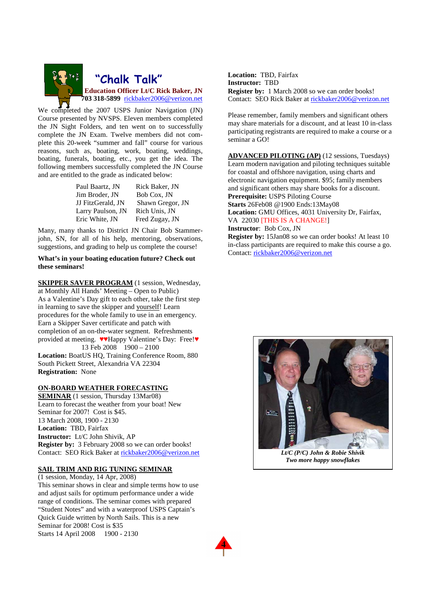

We completed the 2007 USPS Junior Navigation (JN) Course presented by NVSPS. Eleven members completed the JN Sight Folders, and ten went on to successfully complete the JN Exam. Twelve members did not complete this 20-week "summer and fall" course for various reasons, such as, boating, work, boating, weddings, boating, funerals, boating, etc., you get the idea. The following members successfully completed the JN Course and are entitled to the grade as indicated below:

| Paul Baartz, JN   | Rick Baker, JN   |
|-------------------|------------------|
| Jim Broder, JN    | Bob Cox, JN      |
| JJ FitzGerald, JN | Shawn Gregor, JN |
| Larry Paulson, JN | Rich Unis, JN    |
| Eric White, JN    | Fred Zugay, JN   |

Many, many thanks to District JN Chair Bob Stammerjohn, SN, for all of his help, mentoring, observations, suggestions, and grading to help us complete the course!

#### **What's in your boating education future? Check out these seminars!**

**SKIPPER SAVER PROGRAM** (1 session, Wednesday, at Monthly All Hands' Meeting – Open to Public) As a Valentine's Day gift to each other, take the first step in learning to save the skipper and yourself! Learn procedures for the whole family to use in an emergency. Earn a Skipper Saver certificate and patch with completion of an on-the-water segment. Refreshments provided at meeting. ♥♥Happy Valentine's Day: Free!♥ 13 Feb 2008 1900 – 2100 **Location:** BoatUS HQ, Training Conference Room, 880 South Pickett Street, Alexandria VA 22304

**Registration:** None

#### **ON-BOARD WEATHER FORECASTING**

**SEMINAR** (1 session, Thursday 13Mar08) Learn to forecast the weather from your boat! New Seminar for 2007! Cost is \$45. 13 March 2008, 1900 - 2130 **Location:** TBD, Fairfax **Instructor:** Lt/C John Shivik, AP **Register by:** 3 February 2008 so we can order books! Contact: SEO Rick Baker at rickbaker2006@verizon.net

#### **SAIL TRIM AND RIG TUNING SEMINAR**

(1 session, Monday, 14 Apr, 2008) This seminar shows in clear and simple terms how to use and adjust sails for optimum performance under a wide range of conditions. The seminar comes with prepared "Student Notes" and with a waterproof USPS Captain's Quick Guide written by North Sails. This is a new Seminar for 2008! Cost is \$35 Starts 14 April 2008 1900 - 2130

**Location:** TBD, Fairfax **Instructor:** TBD **Register by:** 1 March 2008 so we can order books! Contact: SEO Rick Baker at rickbaker2006@verizon.net

Please remember, family members and significant others may share materials for a discount, and at least 10 in-class participating registrants are required to make a course or a seminar a GO!

**ADVANCED PILOTING (AP)** (12 sessions, Tuesdays) Learn modern navigation and piloting techniques suitable for coastal and offshore navigation, using charts and electronic navigation equipment. \$95; family members and significant others may share books for a discount. **Prerequisite:** USPS Piloting Course **Starts** 26Feb08 @1900 Ends:13May08 **Location:** GMU Offices, 4031 University Dr, Fairfax, VA 22030 [THIS IS A CHANGE!] **Instructor**: Bob Cox, JN

**Register by:** 15Jan08 so we can order books! At least 10 in-class participants are required to make this course a go. Contact: rickbaker2006@verizon.net



*Two more happy snowflakes* 

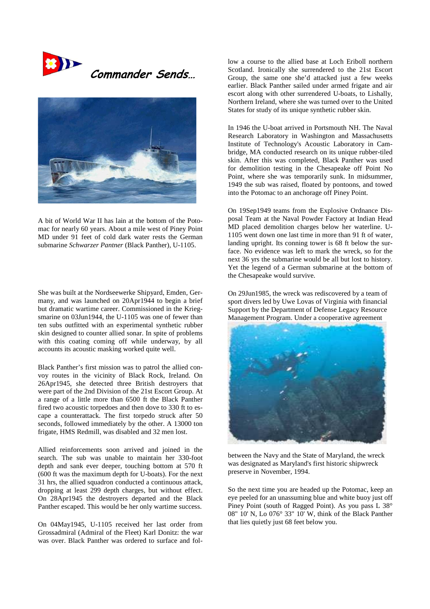



A bit of World War II has lain at the bottom of the Potomac for nearly 60 years. About a mile west of Piney Point MD under 91 feet of cold dark water rests the German submarine *Schwarzer Pantner* (Black Panther), U-1105.

She was built at the Nordseewerke Shipyard, Emden, Germany, and was launched on 20Apr1944 to begin a brief but dramatic wartime career. Commissioned in the Kriegsmarine on 03Jun1944, the U-1105 was one of fewer than ten subs outfitted with an experimental synthetic rubber skin designed to counter allied sonar. In spite of problems with this coating coming off while underway, by all accounts its acoustic masking worked quite well.

Black Panther's first mission was to patrol the allied convoy routes in the vicinity of Black Rock, Ireland. On 26Apr1945, she detected three British destroyers that were part of the 2nd Division of the 21st Escort Group. At a range of a little more than 6500 ft the Black Panther fired two acoustic torpedoes and then dove to 330 ft to escape a counterattack. The first torpedo struck after 50 seconds, followed immediately by the other. A 13000 ton frigate, HMS Redmill, was disabled and 32 men lost.

Allied reinforcements soon arrived and joined in the search. The sub was unable to maintain her 330-foot depth and sank ever deeper, touching bottom at 570 ft (600 ft was the maximum depth for U-boats). For the next 31 hrs, the allied squadron conducted a continuous attack, dropping at least 299 depth charges, but without effect. On 28Apr1945 the destroyers departed and the Black Panther escaped. This would be her only wartime success.

On 04May1945, U-1105 received her last order from Grossadmiral (Admiral of the Fleet) Karl Donitz: the war was over. Black Panther was ordered to surface and follow a course to the allied base at Loch Eriboll northern Scotland. Ironically she surrendered to the 21st Escort Group, the same one she'd attacked just a few weeks earlier. Black Panther sailed under armed frigate and air escort along with other surrendered U-boats, to Lishally, Northern Ireland, where she was turned over to the United States for study of its unique synthetic rubber skin.

In 1946 the U-boat arrived in Portsmouth NH. The Naval Research Laboratory in Washington and Massachusetts Institute of Technology's Acoustic Laboratory in Cambridge, MA conducted research on its unique rubber-tiled skin. After this was completed, Black Panther was used for demolition testing in the Chesapeake off Point No Point, where she was temporarily sunk. In midsummer, 1949 the sub was raised, floated by pontoons, and towed into the Potomac to an anchorage off Piney Point.

On 19Sep1949 teams from the Explosive Ordnance Disposal Team at the Naval Powder Factory at Indian Head MD placed demolition charges below her waterline. U-1105 went down one last time in more than 91 ft of water, landing upright. Its conning tower is 68 ft below the surface. No evidence was left to mark the wreck, so for the next 36 yrs the submarine would be all but lost to history. Yet the legend of a German submarine at the bottom of the Chesapeake would survive.

On 29Jun1985, the wreck was rediscovered by a team of sport divers led by Uwe Lovas of Virginia with financial Support by the Department of Defense Legacy Resource Management Program. Under a cooperative agreement



between the Navy and the State of Maryland, the wreck was designated as Maryland's first historic shipwreck preserve in November, 1994.

So the next time you are headed up the Potomac, keep an eye peeled for an unassuming blue and white buoy just off Piney Point (south of Ragged Point). As you pass L 38° 08" 10' N, Lo 076° 33" 10' W, think of the Black Panther that lies quietly just 68 feet below you.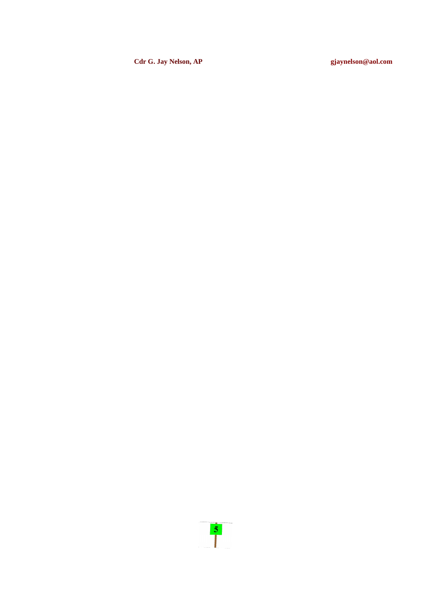**Cdr G. Jay Nelson, AP gjaynelson@aol.com**

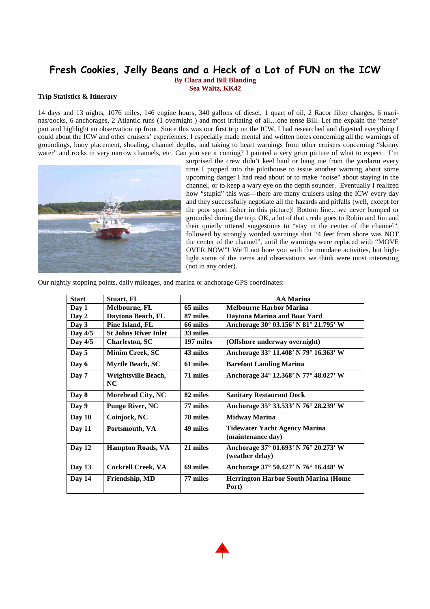### **Fresh Cookies, Jelly Beans and a Heck of a Lot of FUN on the ICW**

**By Clara and Bill Blanding Sea Waltz, KK42** 

#### **Trip Statistics & Itinerary**

14 days and 13 nights, 1076 miles, 146 engine hours, 340 gallons of diesel, 1 quart of oil, 2 Racor filter changes, 6 marinas/docks, 6 anchorages, 2 Atlantic runs (1 overnight ) and most irritating of all…one tense Bill. Let me explain the "tense" part and highlight an observation up front. Since this was our first trip on the ICW, I had researched and digested everything I could about the ICW and other cruisers' experiences. I especially made mental and written notes concerning all the warnings of groundings, buoy placement, shoaling, channel depths, and taking to heart warnings from other cruisers concerning "skinny water" and rocks in very narrow channels, etc. Can you see it coming? I painted a very grim picture of what to expect. I'm



surprised the crew didn't keel haul or hang me from the yardarm every time I popped into the pilothouse to issue another warning about some upcoming danger I had read about or to make "noise" about staying in the channel, or to keep a wary eye on the depth sounder. Eventually I realized how "stupid" this was---there are many cruisers using the ICW every day and they successfully negotiate all the hazards and pitfalls (well, except for the poor sport fisher in this picture)! Bottom line…we never bumped or grounded during the trip. OK, a lot of that credit goes to Robin and Jim and their quietly uttered suggestions to "stay in the center of the channel", followed by strongly worded warnings that "4 feet from shore was NOT the center of the channel", until the warnings were replaced with "MOVE OVER NOW"! We'll not bore you with the mundane activities, but highlight some of the items and observations we think were most interesting (not in any order).

Our nightly stopping points, daily mileages, and marina or anchorage GPS coordinates:

| <b>Start</b> | Stuart, FL                  |           | <b>AA Marina</b>                                          |  |
|--------------|-----------------------------|-----------|-----------------------------------------------------------|--|
| Day 1        | Melbourne, FL               | 65 miles  | <b>Melbourne Harbor Marina</b>                            |  |
| Day 2        | Daytona Beach, FL           | 87 miles  | Daytona Marina and Boat Yard                              |  |
| Day 3        | Pine Island, FL             | 66 miles  | Anchorage 30° 03.156' N 81° 21.795' W                     |  |
| Day 4/5      | <b>St Johns River Inlet</b> | 33 miles  |                                                           |  |
| Day 4/5      | <b>Charleston, SC</b>       | 197 miles | (Offshore underway overnight)                             |  |
| Day 5        | Minim Creek, SC             | 43 miles  | Anchorage 33° 11.408' N 79° 16.363' W                     |  |
| Day 6        | <b>Myrtle Beach, SC</b>     | 61 miles  | <b>Barefoot Landing Marina</b>                            |  |
| Day 7        | Wrightsville Beach,<br>NC   | 71 miles  | Anchorage 34° 12.368' N 77° 48.027' W                     |  |
| Day 8        | <b>Morehead City, NC</b>    | 82 miles  | <b>Sanitary Restaurant Dock</b>                           |  |
| Day 9        | <b>Pungo River, NC</b>      | 77 miles  | Anchorage 35° 33.533′ N 76° 28.239′ W                     |  |
| Day 10       | Coinjock, NC                | 78 miles  | <b>Midway Marina</b>                                      |  |
| Day 11       | Portsmouth, VA              | 49 miles  | <b>Tidewater Yacht Agency Marina</b><br>(maintenance day) |  |
| Day 12       | <b>Hampton Roads, VA</b>    | 21 miles  | Anchorage 37° 01.693' N 76° 20.273' W<br>(weather delay)  |  |
| Day 13       | Cockrell Creek, VA          | 69 miles  | Anchorage 37° 50.427′ N 76° 16.448′ W                     |  |
| Day 14       | Friendship, MD              | 77 miles  | <b>Herrington Harbor South Marina (Home</b><br>Port)      |  |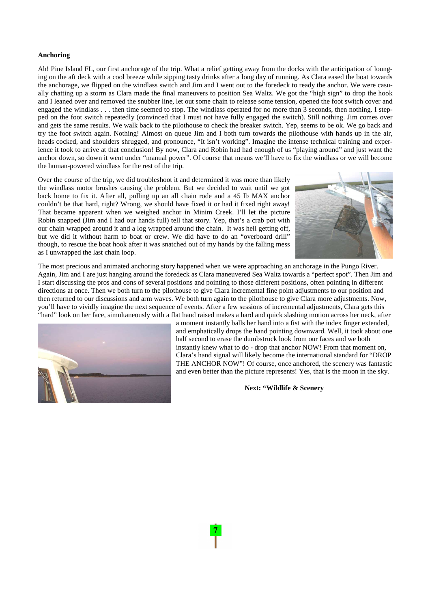#### **Anchoring**

Ah! Pine Island FL, our first anchorage of the trip. What a relief getting away from the docks with the anticipation of lounging on the aft deck with a cool breeze while sipping tasty drinks after a long day of running. As Clara eased the boat towards the anchorage, we flipped on the windlass switch and Jim and I went out to the foredeck to ready the anchor. We were casually chatting up a storm as Clara made the final maneuvers to position Sea Waltz. We got the "high sign" to drop the hook and I leaned over and removed the snubber line, let out some chain to release some tension, opened the foot switch cover and engaged the windlass . . . then time seemed to stop. The windlass operated for no more than 3 seconds, then nothing. I stepped on the foot switch repeatedly (convinced that I must not have fully engaged the switch). Still nothing. Jim comes over and gets the same results. We walk back to the pilothouse to check the breaker switch. Yep, seems to be ok. We go back and try the foot switch again. Nothing! Almost on queue Jim and I both turn towards the pilothouse with hands up in the air, heads cocked, and shoulders shrugged, and pronounce, "It isn't working". Imagine the intense technical training and experience it took to arrive at that conclusion! By now, Clara and Robin had had enough of us "playing around" and just want the anchor down, so down it went under "manual power". Of course that means we'll have to fix the windlass or we will become the human-powered windlass for the rest of the trip.

Over the course of the trip, we did troubleshoot it and determined it was more than likely the windlass motor brushes causing the problem. But we decided to wait until we got back home to fix it. After all, pulling up an all chain rode and a 45 lb MAX anchor couldn't be that hard, right? Wrong, we should have fixed it or had it fixed right away! That became apparent when we weighed anchor in Minim Creek. I'll let the picture Robin snapped (Jim and I had our hands full) tell that story. Yep, that's a crab pot with our chain wrapped around it and a log wrapped around the chain. It was hell getting off, but we did it without harm to boat or crew. We did have to do an "overboard drill" though, to rescue the boat hook after it was snatched out of my hands by the falling mess as I unwrapped the last chain loop.



The most precious and animated anchoring story happened when we were approaching an anchorage in the Pungo River. Again, Jim and I are just hanging around the foredeck as Clara maneuvered Sea Waltz towards a "perfect spot". Then Jim and I start discussing the pros and cons of several positions and pointing to those different positions, often pointing in different directions at once. Then we both turn to the pilothouse to give Clara incremental fine point adjustments to our position and then returned to our discussions and arm waves. We both turn again to the pilothouse to give Clara more adjustments. Now, you'll have to vividly imagine the next sequence of events. After a few sessions of incremental adjustments, Clara gets this "hard" look on her face, simultaneously with a flat hand raised makes a hard and quick slashing motion across her neck, after



a moment instantly balls her hand into a fist with the index finger extended, and emphatically drops the hand pointing downward. Well, it took about one half second to erase the dumbstruck look from our faces and we both instantly knew what to do - drop that anchor NOW! From that moment on, Clara's hand signal will likely become the international standard for "DROP THE ANCHOR NOW"! Of course, once anchored, the scenery was fantastic and even better than the picture represents! Yes, that is the moon in the sky.

**Next: "Wildlife & Scenery**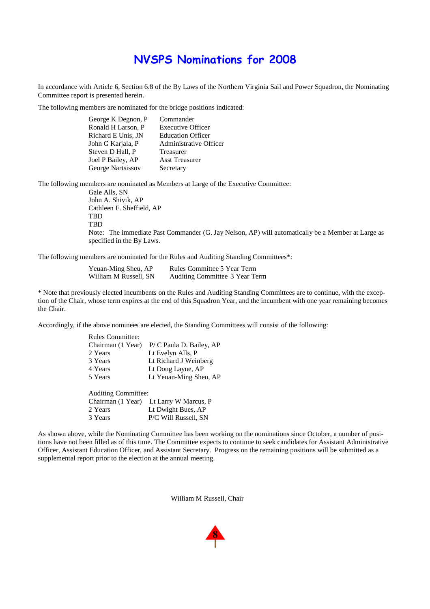## **NVSPS Nominations for 2008**

In accordance with Article 6, Section 6.8 of the By Laws of the Northern Virginia Sail and Power Squadron, the Nominating Committee report is presented herein.

The following members are nominated for the bridge positions indicated:

| George K Degnon, P | Commander                |
|--------------------|--------------------------|
| Ronald H Larson, P | <b>Executive Officer</b> |
| Richard E Unis, JN | <b>Education Officer</b> |
| John G Karjala, P  | Administrative Officer   |
| Steven D Hall, P   | Treasurer                |
| Joel P Bailey, AP  | <b>Asst Treasurer</b>    |
| George Nartsissov  | Secretary                |

The following members are nominated as Members at Large of the Executive Committee:

Gale Alls, SN John A. Shivik, AP Cathleen F. Sheffield, AP **TBD TBD** Note: The immediate Past Commander (G. Jay Nelson, AP) will automatically be a Member at Large as specified in the By Laws.

The following members are nominated for the Rules and Auditing Standing Committees\*:

| Yeuan-Ming Sheu, AP   | <b>Rules Committee 5 Year Term</b> |
|-----------------------|------------------------------------|
| William M Russell, SN | Auditing Committee 3 Year Term     |

\* Note that previously elected incumbents on the Rules and Auditing Standing Committees are to continue, with the exception of the Chair, whose term expires at the end of this Squadron Year, and the incumbent with one year remaining becomes the Chair.

Accordingly, if the above nominees are elected, the Standing Committees will consist of the following:

| <b>Rules Committee:</b>    |                                        |
|----------------------------|----------------------------------------|
| Chairman (1 Year)          | P/C Paula D. Bailey, AP                |
| 2 Years                    | Lt Evelyn Alls, P                      |
| 3 Years                    | Lt Richard J Weinberg                  |
| 4 Years                    | Lt Doug Layne, AP                      |
| 5 Years                    | Lt Yeuan-Ming Sheu, AP                 |
| <b>Auditing Committee:</b> |                                        |
|                            | Chairman (1 Year) Lt Larry W Marcus, P |
| 2 Years                    | Lt Dwight Bues, AP                     |

3 Years P/C Will Russell, SN

As shown above, while the Nominating Committee has been working on the nominations since October, a number of positions have not been filled as of this time. The Committee expects to continue to seek candidates for Assistant Administrative Officer, Assistant Education Officer, and Assistant Secretary. Progress on the remaining positions will be submitted as a supplemental report prior to the election at the annual meeting.

William M Russell, Chair

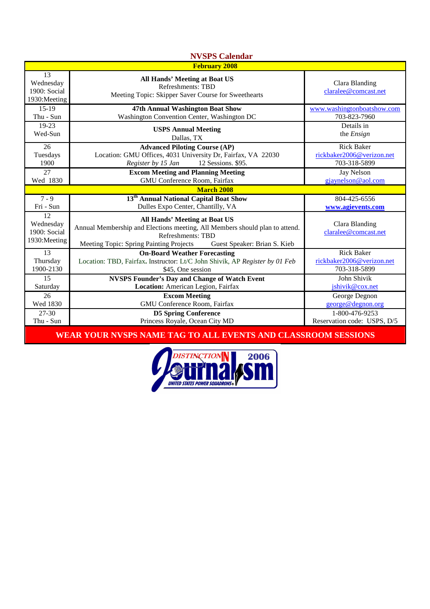| <b>NVSPS Calendar</b>                            |                                                                                                                                                                                                                     |                                                                |  |  |
|--------------------------------------------------|---------------------------------------------------------------------------------------------------------------------------------------------------------------------------------------------------------------------|----------------------------------------------------------------|--|--|
| <b>February 2008</b>                             |                                                                                                                                                                                                                     |                                                                |  |  |
| 13<br>Wednesday<br>1900: Social<br>1930: Meeting | <b>All Hands' Meeting at Boat US</b><br><b>Refreshments: TBD</b><br>Meeting Topic: Skipper Saver Course for Sweethearts                                                                                             | Clara Blanding<br>claralee@comcast.net                         |  |  |
| $15-19$                                          | 47th Annual Washington Boat Show                                                                                                                                                                                    | www.washingtonboatshow.com                                     |  |  |
| Thu - Sun                                        | Washington Convention Center, Washington DC                                                                                                                                                                         | 703-823-7960                                                   |  |  |
| 19-23                                            | <b>USPS Annual Meeting</b>                                                                                                                                                                                          | Details in                                                     |  |  |
| Wed-Sun                                          | Dallas, TX                                                                                                                                                                                                          | the <i>Ensign</i>                                              |  |  |
| 26<br>Tuesdays<br>1900                           | <b>Advanced Piloting Course (AP)</b><br>Location: GMU Offices, 4031 University Dr, Fairfax, VA 22030<br>12 Sessions. \$95.<br>Register by 15 Jan                                                                    | <b>Rick Baker</b><br>rickbaker2006@verizon.net<br>703-318-5899 |  |  |
| 27                                               | <b>Excom Meeting and Planning Meeting</b>                                                                                                                                                                           | Jay Nelson                                                     |  |  |
| Wed 1830                                         | GMU Conference Room, Fairfax                                                                                                                                                                                        | gjaynelson@aol.com                                             |  |  |
| <b>March 2008</b>                                |                                                                                                                                                                                                                     |                                                                |  |  |
| $7 - 9$                                          | 13 <sup>th</sup> Annual National Capital Boat Show                                                                                                                                                                  | 804-425-6556                                                   |  |  |
| Fri - Sun                                        | Dulles Expo Center, Chantilly, VA                                                                                                                                                                                   | www.agievents.com                                              |  |  |
| 12<br>Wednesday<br>1900: Social<br>1930: Meeting | <b>All Hands' Meeting at Boat US</b><br>Annual Membership and Elections meeting, All Members should plan to attend.<br>Refreshments: TBD<br>Meeting Topic: Spring Painting Projects<br>Guest Speaker: Brian S. Kieb | Clara Blanding<br>claralee@comcast.net                         |  |  |
| $\overline{13}$                                  | <b>On-Board Weather Forecasting</b>                                                                                                                                                                                 | <b>Rick Baker</b>                                              |  |  |
| Thursday                                         | Location: TBD, Fairfax. Instructor: Lt/C John Shivik, AP Register by 01 Feb                                                                                                                                         | rickbaker2006@verizon.net                                      |  |  |
| 1900-2130                                        | \$45. One session                                                                                                                                                                                                   | 703-318-5899                                                   |  |  |
| 15                                               | <b>NVSPS Founder's Day and Change of Watch Event</b>                                                                                                                                                                | John Shivik                                                    |  |  |
| Saturday                                         | Location: American Legion, Fairfax                                                                                                                                                                                  | jshivik@cox.net                                                |  |  |
| 26                                               | <b>Excom Meeting</b>                                                                                                                                                                                                | George Degnon                                                  |  |  |
| Wed 1830                                         | GMU Conference Room, Fairfax                                                                                                                                                                                        | george@degnon.org                                              |  |  |
| 27-30                                            | <b>D5 Spring Conference</b>                                                                                                                                                                                         | 1-800-476-9253                                                 |  |  |
| Thu - Sun                                        | Princess Royale, Ocean City MD                                                                                                                                                                                      | Reservation code: USPS, D/5                                    |  |  |

**WEAR YOUR NVSPS NAME TAG TO ALL EVENTS AND CLASSROOM SESSIONS**